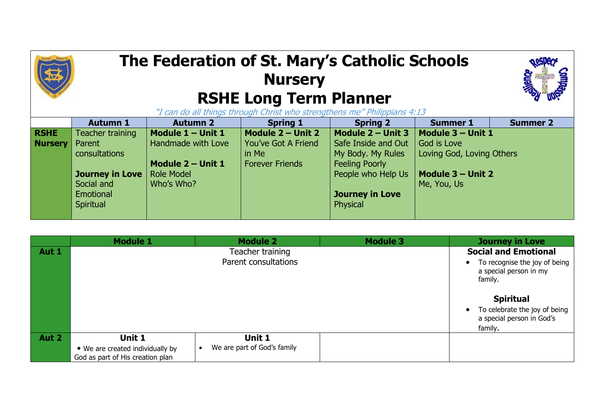## **The Federation of St. Mary's Catholic Schools Nursery RSHE Long Term Planner**



"I can do all things through Christ who strengthens me" Philippians 4:13

|                | <b>Autumn 1</b>  | <b>Autumn 2</b>    | <b>Spring 1</b>        | <b>Spring 2</b>        | <b>Summer 1</b>           | <b>Summer 2</b> |
|----------------|------------------|--------------------|------------------------|------------------------|---------------------------|-----------------|
| <b>RSHE</b>    | Teacher training | Module 1 - Unit 1  | Module 2 - Unit 2      | Module $2 -$ Unit 3    | $\vert$ Module 3 – Unit 1 |                 |
| <b>Nursery</b> | Parent           | Handmade with Love | You've Got A Friend    | Safe Inside and Out    | God is Love               |                 |
|                | consultations    |                    | in Me                  | My Body. My Rules      | Loving God, Loving Others |                 |
|                |                  | Module 2 - Unit 1  | <b>Forever Friends</b> | <b>Feeling Poorly</b>  |                           |                 |
|                | Journey in Love  | <b>Role Model</b>  |                        | People who Help Us     | $\vert$ Module 3 – Unit 2 |                 |
|                | Social and       | Who's Who?         |                        |                        | Me, You, Us               |                 |
|                | Emotional        |                    |                        | <b>Journey in Love</b> |                           |                 |
|                | Spiritual        |                    |                        | Physical               |                           |                 |
|                |                  |                    |                        |                        |                           |                 |

|       | <b>Module 1</b>                  | <b>Module 2</b>             | <b>Module 3</b> | <b>Journey in Love</b>                                                |
|-------|----------------------------------|-----------------------------|-----------------|-----------------------------------------------------------------------|
| Aut 1 | Teacher training                 |                             |                 | <b>Social and Emotional</b>                                           |
|       |                                  | Parent consultations        |                 | To recognise the joy of being<br>a special person in my<br>family.    |
|       |                                  |                             |                 | <b>Spiritual</b>                                                      |
|       |                                  |                             |                 | To celebrate the joy of being<br>a special person in God's<br>family. |
| Aut 2 | Unit 1                           | Unit 1                      |                 |                                                                       |
|       | • We are created individually by | We are part of God's family |                 |                                                                       |
|       | God as part of His creation plan |                             |                 |                                                                       |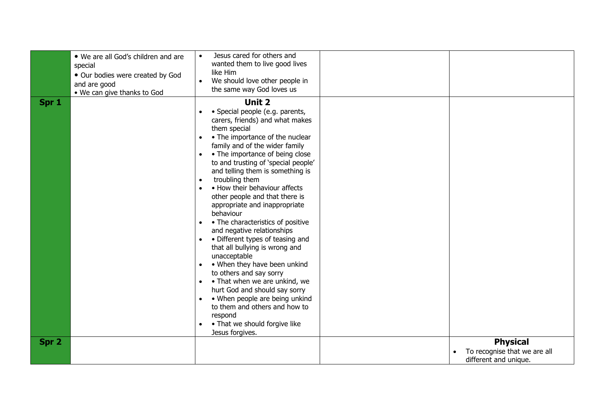|       | . We are all God's children and are<br>special<br>• Our bodies were created by God<br>and are good<br>• We can give thanks to God | Jesus cared for others and<br>wanted them to live good lives<br>like Him<br>We should love other people in<br>$\bullet$<br>the same way God loves us                                                                                                                                                                                                                                                                                                                                                                                                                                                                                                                                                                                                                                                                                                                                                                            |                                                                          |
|-------|-----------------------------------------------------------------------------------------------------------------------------------|---------------------------------------------------------------------------------------------------------------------------------------------------------------------------------------------------------------------------------------------------------------------------------------------------------------------------------------------------------------------------------------------------------------------------------------------------------------------------------------------------------------------------------------------------------------------------------------------------------------------------------------------------------------------------------------------------------------------------------------------------------------------------------------------------------------------------------------------------------------------------------------------------------------------------------|--------------------------------------------------------------------------|
| Spr 1 |                                                                                                                                   | <b>Unit 2</b><br>· Special people (e.g. parents,<br>carers, friends) and what makes<br>them special<br>• The importance of the nuclear<br>family and of the wider family<br>• The importance of being close<br>to and trusting of 'special people'<br>and telling them is something is<br>troubling them<br>$\bullet$<br>• How their behaviour affects<br>other people and that there is<br>appropriate and inappropriate<br>behaviour<br>• The characteristics of positive<br>$\bullet$<br>and negative relationships<br>• Different types of teasing and<br>$\bullet$<br>that all bullying is wrong and<br>unacceptable<br>• When they have been unkind<br>$\bullet$<br>to others and say sorry<br>• That when we are unkind, we<br>$\bullet$<br>hurt God and should say sorry<br>• When people are being unkind<br>$\bullet$<br>to them and others and how to<br>respond<br>• That we should forgive like<br>Jesus forgives. |                                                                          |
| Spr 2 |                                                                                                                                   |                                                                                                                                                                                                                                                                                                                                                                                                                                                                                                                                                                                                                                                                                                                                                                                                                                                                                                                                 | <b>Physical</b><br>To recognise that we are all<br>different and unique. |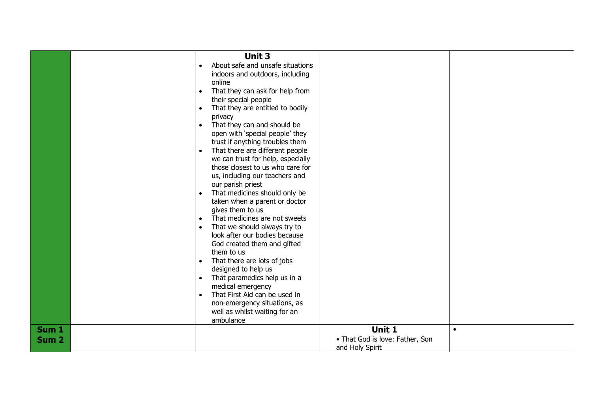|                  | Unit 3                                        |                                 |           |
|------------------|-----------------------------------------------|---------------------------------|-----------|
|                  |                                               |                                 |           |
|                  | About safe and unsafe situations              |                                 |           |
|                  | indoors and outdoors, including               |                                 |           |
|                  | online                                        |                                 |           |
|                  | That they can ask for help from<br>$\bullet$  |                                 |           |
|                  | their special people                          |                                 |           |
|                  | That they are entitled to bodily<br>$\bullet$ |                                 |           |
|                  | privacy                                       |                                 |           |
|                  | That they can and should be<br>$\bullet$      |                                 |           |
|                  | open with 'special people' they               |                                 |           |
|                  | trust if anything troubles them               |                                 |           |
|                  | That there are different people<br>$\bullet$  |                                 |           |
|                  | we can trust for help, especially             |                                 |           |
|                  | those closest to us who care for              |                                 |           |
|                  | us, including our teachers and                |                                 |           |
|                  | our parish priest                             |                                 |           |
|                  | That medicines should only be<br>$\bullet$    |                                 |           |
|                  | taken when a parent or doctor                 |                                 |           |
|                  | gives them to us                              |                                 |           |
|                  | That medicines are not sweets                 |                                 |           |
|                  | That we should always try to<br>$\bullet$     |                                 |           |
|                  | look after our bodies because                 |                                 |           |
|                  | God created them and gifted                   |                                 |           |
|                  | them to us                                    |                                 |           |
|                  | That there are lots of jobs<br>$\bullet$      |                                 |           |
|                  | designed to help us                           |                                 |           |
|                  | That paramedics help us in a<br>$\bullet$     |                                 |           |
|                  | medical emergency                             |                                 |           |
|                  | That First Aid can be used in<br>$\bullet$    |                                 |           |
|                  | non-emergency situations, as                  |                                 |           |
|                  | well as whilst waiting for an                 |                                 |           |
|                  | ambulance                                     |                                 |           |
| Sum 1            |                                               | Unit 1                          | $\bullet$ |
|                  |                                               | • That God is love: Father, Son |           |
| Sum <sub>2</sub> |                                               |                                 |           |
|                  |                                               | and Holy Spirit                 |           |